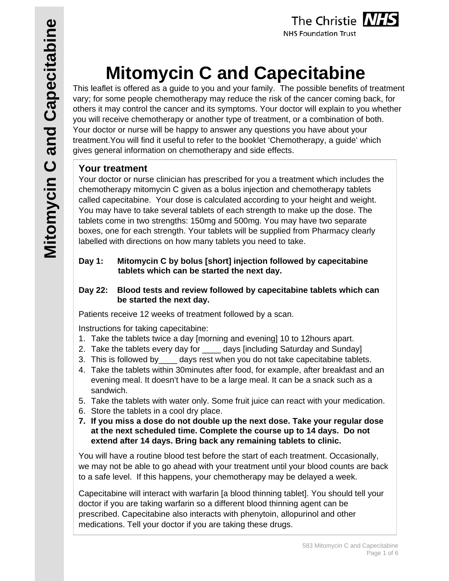

**NHS Foundation Trust** 

# **Mitomycin C and Capecitabine**

This leaflet is offered as a guide to you and your family. The possible benefits of treatment vary; for some people chemotherapy may reduce the risk of the cancer coming back, for others it may control the cancer and its symptoms. Your doctor will explain to you whether you will receive chemotherapy or another type of treatment, or a combination of both. Your doctor or nurse will be happy to answer any questions you have about your treatment.You will find it useful to refer to the booklet 'Chemotherapy, a guide' which gives general information on chemotherapy and side effects.

## **Your treatment**

Your doctor or nurse clinician has prescribed for you a treatment which includes the chemotherapy mitomycin C given as a bolus injection and chemotherapy tablets called capecitabine. Your dose is calculated according to your height and weight. You may have to take several tablets of each strength to make up the dose. The tablets come in two strengths: 150mg and 500mg. You may have two separate boxes, one for each strength. Your tablets will be supplied from Pharmacy clearly labelled with directions on how many tablets you need to take.

#### **Day 1: Mitomycin C by bolus [short] injection followed by capecitabine tablets which can be started the next day.**

#### **Day 22: Blood tests and review followed by capecitabine tablets which can be started the next day.**

Patients receive 12 weeks of treatment followed by a scan.

Instructions for taking capecitabine:

- 1. Take the tablets twice a day [morning and evening] 10 to 12hours apart.
- 2. Take the tablets every day for \_\_\_\_\_ days [including Saturday and Sunday]
- 3. This is followed by\_\_\_\_ days rest when you do not take capecitabine tablets.
- 4. Take the tablets within 30minutes after food, for example, after breakfast and an evening meal. It doesn't have to be a large meal. It can be a snack such as a sandwich.
- 5. Take the tablets with water only. Some fruit juice can react with your medication.
- 6. Store the tablets in a cool dry place.
- **7. If you miss a dose do not double up the next dose. Take your regular dose at the next scheduled time. Complete the course up to 14 days. Do not extend after 14 days. Bring back any remaining tablets to clinic.**

You will have a routine blood test before the start of each treatment. Occasionally, we may not be able to go ahead with your treatment until your blood counts are back to a safe level. If this happens, your chemotherapy may be delayed a week.

Capecitabine will interact with warfarin [a blood thinning tablet]. You should tell your doctor if you are taking warfarin so a different blood thinning agent can be prescribed. Capecitabine also interacts with phenytoin, allopurinol and other medications. Tell your doctor if you are taking these drugs.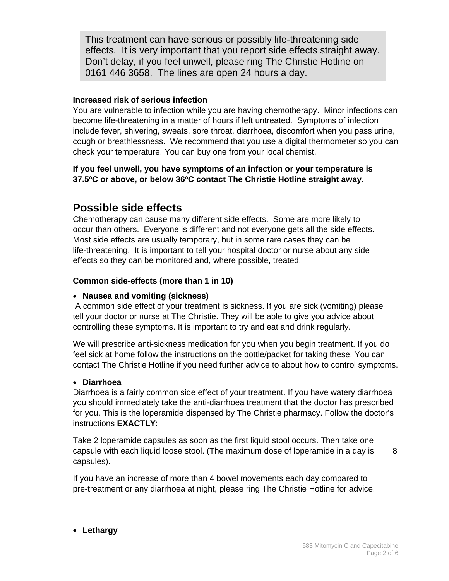This treatment can have serious or possibly life-threatening side effects. It is very important that you report side effects straight away. Don't delay, if you feel unwell, please ring The Christie Hotline on 0161 446 3658. The lines are open 24 hours a day.

#### **Increased risk of serious infection**

You are vulnerable to infection while you are having chemotherapy. Minor infections can become life-threatening in a matter of hours if left untreated. Symptoms of infection include fever, shivering, sweats, sore throat, diarrhoea, discomfort when you pass urine, cough or breathlessness. We recommend that you use a digital thermometer so you can check your temperature. You can buy one from your local chemist.

#### **If you feel unwell, you have symptoms of an infection or your temperature is 37.5ºC or above, or below 36ºC contact The Christie Hotline straight away**.

# **Possible side effects**

Chemotherapy can cause many different side effects. Some are more likely to occur than others. Everyone is different and not everyone gets all the side effects. Most side effects are usually temporary, but in some rare cases they can be life-threatening. It is important to tell your hospital doctor or nurse about any side effects so they can be monitored and, where possible, treated.

#### **Common side-effects (more than 1 in 10)**

#### **Nausea and vomiting (sickness)**

 A common side effect of your treatment is sickness. If you are sick (vomiting) please tell your doctor or nurse at The Christie. They will be able to give you advice about controlling these symptoms. It is important to try and eat and drink regularly.

We will prescribe anti-sickness medication for you when you begin treatment. If you do feel sick at home follow the instructions on the bottle/packet for taking these. You can contact The Christie Hotline if you need further advice to about how to control symptoms.

#### **Diarrhoea**

Diarrhoea is a fairly common side effect of your treatment. If you have watery diarrhoea you should immediately take the anti-diarrhoea treatment that the doctor has prescribed for you. This is the loperamide dispensed by The Christie pharmacy. Follow the doctor's instructions **EXACTLY**:

Take 2 loperamide capsules as soon as the first liquid stool occurs. Then take one capsule with each liquid loose stool. (The maximum dose of loperamide in a day is  $8<sub>8</sub>$ capsules).

If you have an increase of more than 4 bowel movements each day compared to pre-treatment or any diarrhoea at night, please ring The Christie Hotline for advice.

#### **Lethargy**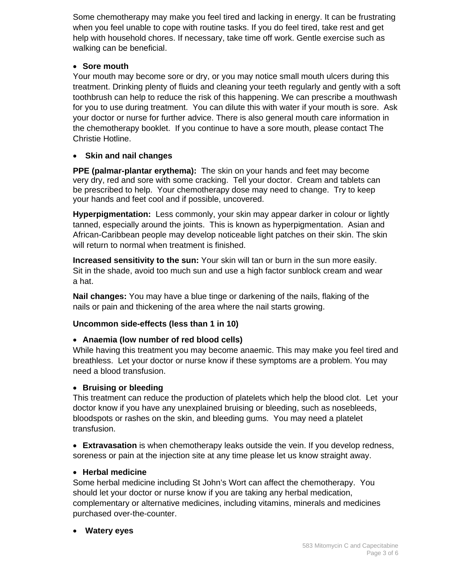Some chemotherapy may make you feel tired and lacking in energy. It can be frustrating when you feel unable to cope with routine tasks. If you do feel tired, take rest and get help with household chores. If necessary, take time off work. Gentle exercise such as walking can be beneficial.

#### **Sore mouth**

Your mouth may become sore or dry, or you may notice small mouth ulcers during this treatment. Drinking plenty of fluids and cleaning your teeth regularly and gently with a soft toothbrush can help to reduce the risk of this happening. We can prescribe a mouthwash for you to use during treatment. You can dilute this with water if your mouth is sore. Ask your doctor or nurse for further advice. There is also general mouth care information in the chemotherapy booklet. If you continue to have a sore mouth, please contact The Christie Hotline.

#### **Skin and nail changes**

**PPE (palmar-plantar erythema):** The skin on your hands and feet may become very dry, red and sore with some cracking. Tell your doctor. Cream and tablets can be prescribed to help. Your chemotherapy dose may need to change. Try to keep your hands and feet cool and if possible, uncovered.

**Hyperpigmentation:** Less commonly, your skin may appear darker in colour or lightly tanned, especially around the joints. This is known as hyperpigmentation. Asian and African-Caribbean people may develop noticeable light patches on their skin. The skin will return to normal when treatment is finished.

**Increased sensitivity to the sun:** Your skin will tan or burn in the sun more easily. Sit in the shade, avoid too much sun and use a high factor sunblock cream and wear a hat.

**Nail changes:** You may have a blue tinge or darkening of the nails, flaking of the nails or pain and thickening of the area where the nail starts growing.

#### **Uncommon side-effects (less than 1 in 10)**

#### **Anaemia (low number of red blood cells)**

While having this treatment you may become anaemic. This may make you feel tired and breathless. Let your doctor or nurse know if these symptoms are a problem. You may need a blood transfusion.

#### **Bruising or bleeding**

This treatment can reduce the production of platelets which help the blood clot. Let your doctor know if you have any unexplained bruising or bleeding, such as nosebleeds, bloodspots or rashes on the skin, and bleeding gums. You may need a platelet transfusion.

 **Extravasation** is when chemotherapy leaks outside the vein. If you develop redness, soreness or pain at the injection site at any time please let us know straight away.

#### **Herbal medicine**

Some herbal medicine including St John's Wort can affect the chemotherapy. You should let your doctor or nurse know if you are taking any herbal medication, complementary or alternative medicines, including vitamins, minerals and medicines purchased over-the-counter.

#### **Watery eyes**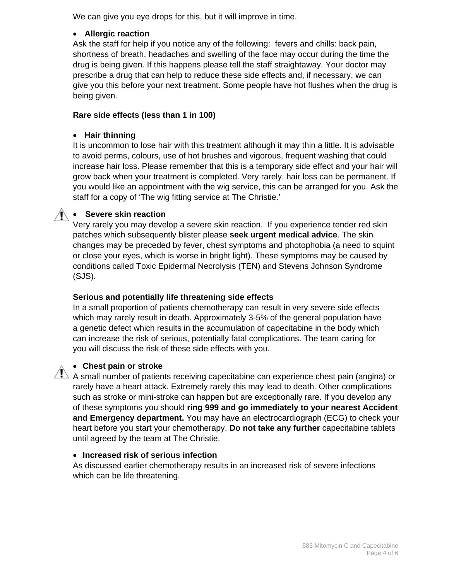We can give you eye drops for this, but it will improve in time.

#### **Allergic reaction**

Ask the staff for help if you notice any of the following: fevers and chills: back pain, shortness of breath, headaches and swelling of the face may occur during the time the drug is being given. If this happens please tell the staff straightaway. Your doctor may prescribe a drug that can help to reduce these side effects and, if necessary, we can give you this before your next treatment. Some people have hot flushes when the drug is being given.

#### **Rare side effects (less than 1 in 100)**

#### **Hair thinning**

It is uncommon to lose hair with this treatment although it may thin a little. It is advisable to avoid perms, colours, use of hot brushes and vigorous, frequent washing that could increase hair loss. Please remember that this is a temporary side effect and your hair will grow back when your treatment is completed. Very rarely, hair loss can be permanent. If you would like an appointment with the wig service, this can be arranged for you. Ask the staff for a copy of 'The wig fitting service at The Christie.'

#### **1 • Severe skin reaction**

Very rarely you may develop a severe skin reaction. If you experience tender red skin patches which subsequently blister please **seek urgent medical advice**. The skin changes may be preceded by fever, chest symptoms and photophobia (a need to squint or close your eyes, which is worse in bright light). These symptoms may be caused by conditions called Toxic Epidermal Necrolysis (TEN) and Stevens Johnson Syndrome (SJS).

#### **Serious and potentially life threatening side effects**

In a small proportion of patients chemotherapy can result in very severe side effects which may rarely result in death. Approximately 3-5% of the general population have a genetic defect which results in the accumulation of capecitabine in the body which can increase the risk of serious, potentially fatal complications. The team caring for you will discuss the risk of these side effects with you.

#### **Chest pain or stroke**

 $\sqrt{N}$  A small number of patients receiving capecitabine can experience chest pain (angina) or rarely have a heart attack. Extremely rarely this may lead to death. Other complications such as stroke or mini-stroke can happen but are exceptionally rare. If you develop any of these symptoms you should **ring 999 and go immediately to your nearest Accident and Emergency department.** You may have an electrocardiograph (ECG) to check your heart before you start your chemotherapy. **Do not take any further** capecitabine tablets until agreed by the team at The Christie.

#### **Increased risk of serious infection**

As discussed earlier chemotherapy results in an increased risk of severe infections which can be life threatening.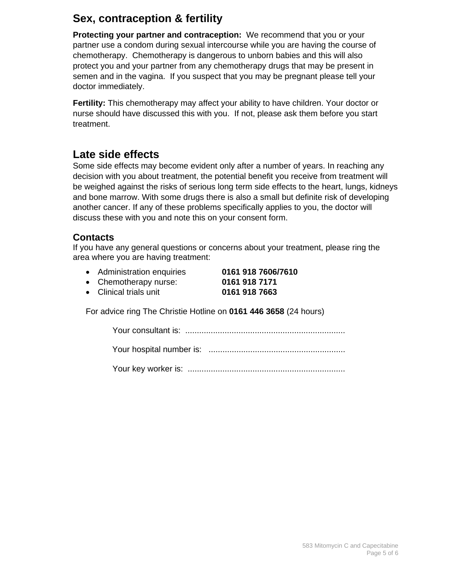# **Sex, contraception & fertility**

**Protecting your partner and contraception:** We recommend that you or your partner use a condom during sexual intercourse while you are having the course of chemotherapy. Chemotherapy is dangerous to unborn babies and this will also protect you and your partner from any chemotherapy drugs that may be present in semen and in the vagina. If you suspect that you may be pregnant please tell your doctor immediately.

**Fertility:** This chemotherapy may affect your ability to have children. Your doctor or nurse should have discussed this with you. If not, please ask them before you start treatment.

# **Late side effects**

Some side effects may become evident only after a number of years. In reaching any decision with you about treatment, the potential benefit you receive from treatment will be weighed against the risks of serious long term side effects to the heart, lungs, kidneys and bone marrow. With some drugs there is also a small but definite risk of developing another cancer. If any of these problems specifically applies to you, the doctor will discuss these with you and note this on your consent form.

### **Contacts**

If you have any general questions or concerns about your treatment, please ring the area where you are having treatment:

Administration enquiries **0161 918 7606/7610**

Chemotherapy nurse: **0161 918 7171**

Clinical trials unit **0161 918 7663**

For advice ring The Christie Hotline on **0161 446 3658** (24 hours)